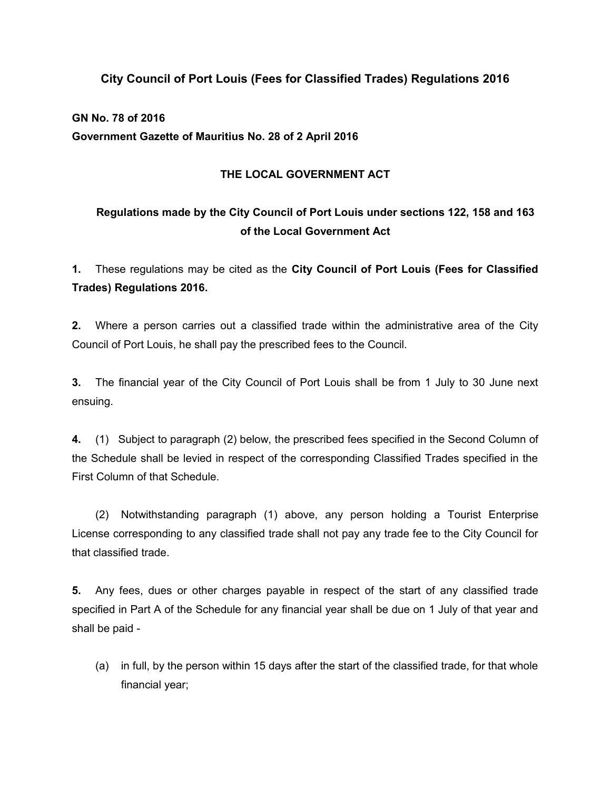### **City Council of Port Louis (Fees for Classified Trades) Regulations 2016**

## **GN No. 78 of 2016 Government Gazette of Mauritius No. 28 of 2 April 2016**

#### **THE LOCAL GOVERNMENT ACT**

# **Regulations made by the City Council of Port Louis under sections 122, 158 and 163 of the Local Government Act**

**1.** These regulations may be cited as the **City Council of Port Louis (Fees for Classified Trades) Regulations 2016.**

**2.** Where a person carries out a classified trade within the administrative area of the City Council of Port Louis, he shall pay the prescribed fees to the Council.

**3.** The financial year of the City Council of Port Louis shall be from 1 July to 30 June next ensuing.

**4.** (1) Subject to paragraph (2) below, the prescribed fees specified in the Second Column of the Schedule shall be levied in respect of the corresponding Classified Trades specified in the First Column of that Schedule.

(2) Notwithstanding paragraph (1) above, any person holding a Tourist Enterprise License corresponding to any classified trade shall not pay any trade fee to the City Council for that classified trade.

**5.** Any fees, dues or other charges payable in respect of the start of any classified trade specified in Part A of the Schedule for any financial year shall be due on 1 July of that year and shall be paid -

(a) in full, by the person within 15 days after the start of the classified trade, for that whole financial year;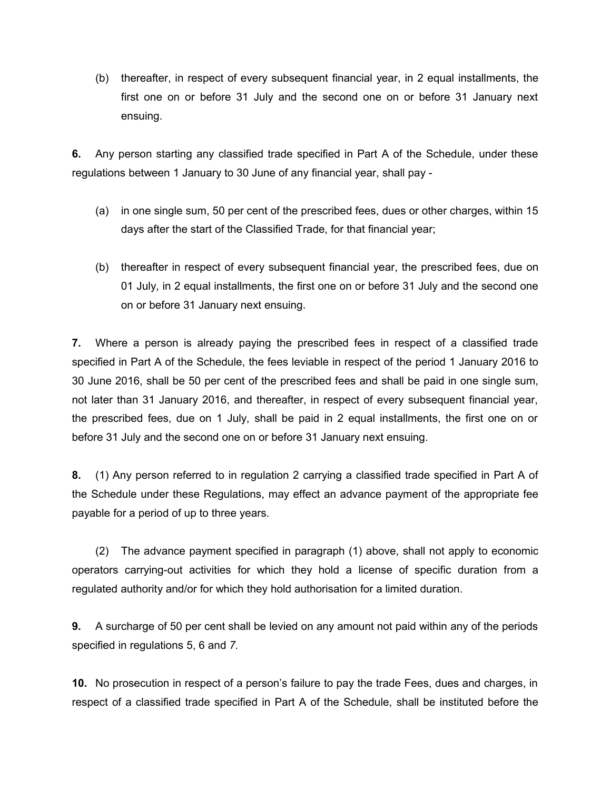(b) thereafter, in respect of every subsequent financial year, in 2 equal installments, the first one on or before 31 July and the second one on or before 31 January next ensuing.

**6.** Any person starting any classified trade specified in Part A of the Schedule, under these regulations between 1 January to 30 June of any financial year, shall pay -

- (a) in one single sum, 50 per cent of the prescribed fees, dues or other charges, within 15 days after the start of the Classified Trade, for that financial year;
- (b) thereafter in respect of every subsequent financial year, the prescribed fees, due on 01 July, in 2 equal installments, the first one on or before 31 July and the second one on or before 31 January next ensuing.

**7.** Where a person is already paying the prescribed fees in respect of a classified trade specified in Part A of the Schedule, the fees leviable in respect of the period 1 January 2016 to 30 June 2016, shall be 50 per cent of the prescribed fees and shall be paid in one single sum, not later than 31 January 2016, and thereafter, in respect of every subsequent financial year, the prescribed fees, due on 1 July, shall be paid in 2 equal installments, the first one on or before 31 July and the second one on or before 31 January next ensuing.

**8.** (1) Any person referred to in regulation 2 carrying a classified trade specified in Part A of the Schedule under these Regulations, may effect an advance payment of the appropriate fee payable for a period of up to three years.

(2) The advance payment specified in paragraph (1) above, shall not apply to economic operators carrying-out activities for which they hold a license of specific duration from a regulated authority and/or for which they hold authorisation for a limited duration.

**9.** A surcharge of 50 per cent shall be levied on any amount not paid within any of the periods specified in regulations 5, 6 and *7.*

**10.** No prosecution in respect of a person's failure to pay the trade Fees, dues and charges, in respect of a classified trade specified in Part A of the Schedule, shall be instituted before the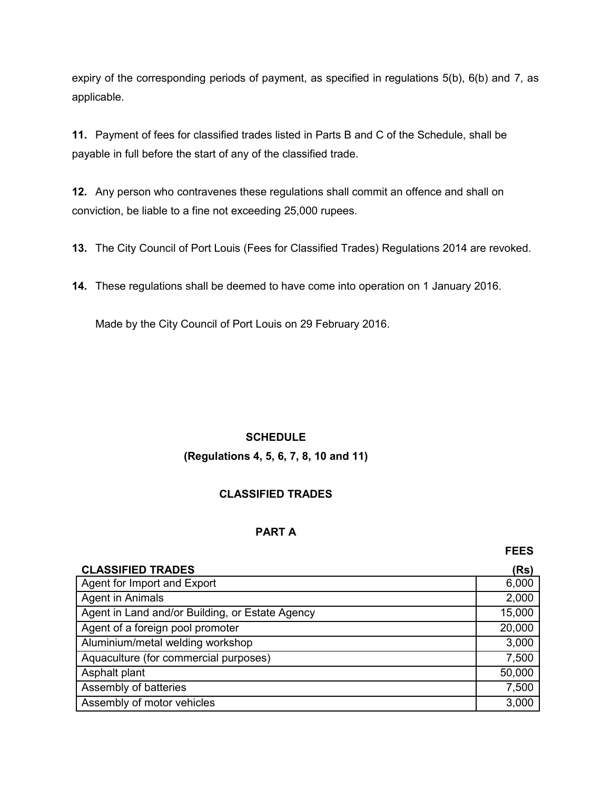expiry of the corresponding periods of payment, as specified in regulations 5(b), 6(b) and 7*,* as applicable.

**11.** Payment of fees for classified trades listed in Parts B and C of the Schedule, shall be payable in full before the start of any of the classified trade.

**12.** Any person who contravenes these regulations shall commit an offence and shall on conviction, be liable to a fine not exceeding 25,000 rupees.

**13.** The City Council of Port Louis (Fees for Classified Trades) Regulations 2014 are revoked.

**14.** These regulations shall be deemed to have come into operation on 1 January 2016.

Made by the City Council of Port Louis on 29 February 2016.

### **SCHEDULE**

### **(Regulations 4, 5, 6, 7, 8, 10 and 11)**

### **CLASSIFIED TRADES**

#### **PART A**

**FEES**

| <b>CLASSIFIED TRADES</b>                        | (Rs)   |
|-------------------------------------------------|--------|
| Agent for Import and Export                     | 6,000  |
| <b>Agent in Animals</b>                         | 2,000  |
| Agent in Land and/or Building, or Estate Agency | 15,000 |
| Agent of a foreign pool promoter                | 20,000 |
| Aluminium/metal welding workshop                | 3,000  |
| Aquaculture (for commercial purposes)           | 7,500  |
| Asphalt plant                                   | 50,000 |
| Assembly of batteries                           | 7,500  |
| Assembly of motor vehicles                      | 3,000  |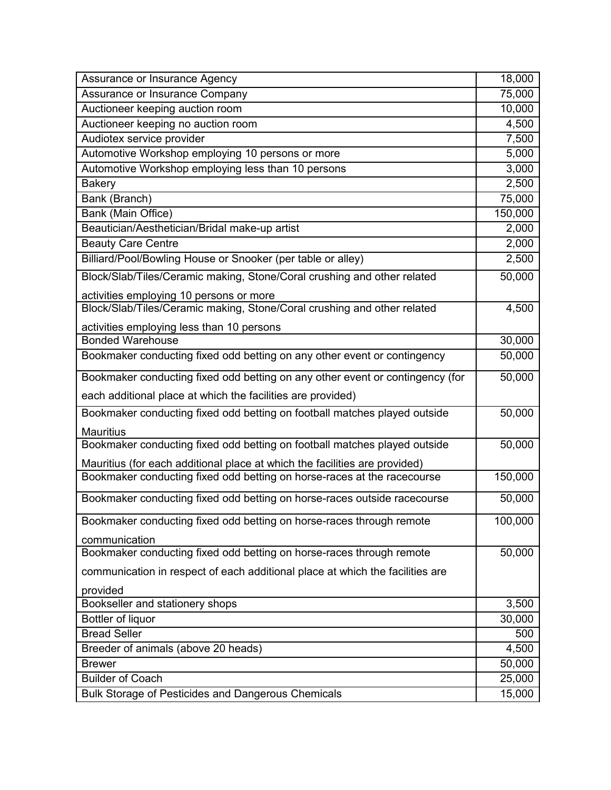| Assurance or Insurance Agency                                                 | 18,000  |
|-------------------------------------------------------------------------------|---------|
| Assurance or Insurance Company                                                | 75,000  |
| Auctioneer keeping auction room                                               | 10,000  |
| Auctioneer keeping no auction room                                            | 4,500   |
| Audiotex service provider                                                     | 7,500   |
| Automotive Workshop employing 10 persons or more                              | 5,000   |
| Automotive Workshop employing less than 10 persons                            | 3,000   |
| <b>Bakery</b>                                                                 | 2,500   |
| Bank (Branch)                                                                 | 75,000  |
| Bank (Main Office)                                                            | 150,000 |
| Beautician/Aesthetician/Bridal make-up artist                                 | 2,000   |
| <b>Beauty Care Centre</b>                                                     | 2,000   |
| Billiard/Pool/Bowling House or Snooker (per table or alley)                   | 2,500   |
| Block/Slab/Tiles/Ceramic making, Stone/Coral crushing and other related       | 50,000  |
| activities employing 10 persons or more                                       |         |
| Block/Slab/Tiles/Ceramic making, Stone/Coral crushing and other related       | 4,500   |
| activities employing less than 10 persons                                     |         |
| <b>Bonded Warehouse</b>                                                       | 30,000  |
| Bookmaker conducting fixed odd betting on any other event or contingency      | 50,000  |
| Bookmaker conducting fixed odd betting on any other event or contingency (for | 50,000  |
| each additional place at which the facilities are provided)                   |         |
| Bookmaker conducting fixed odd betting on football matches played outside     | 50,000  |
| <b>Mauritius</b>                                                              |         |
| Bookmaker conducting fixed odd betting on football matches played outside     | 50,000  |
| Mauritius (for each additional place at which the facilities are provided)    |         |
| Bookmaker conducting fixed odd betting on horse-races at the racecourse       | 150,000 |
| Bookmaker conducting fixed odd betting on horse-races outside racecourse      | 50,000  |
| Bookmaker conducting fixed odd betting on horse-races through remote          | 100,000 |
| communication                                                                 |         |
| Bookmaker conducting fixed odd betting on horse-races through remote          | 50,000  |
| communication in respect of each additional place at which the facilities are |         |
| provided                                                                      |         |
| Bookseller and stationery shops                                               | 3,500   |
| Bottler of liquor                                                             | 30,000  |
| <b>Bread Seller</b>                                                           | 500     |
| Breeder of animals (above 20 heads)                                           | 4,500   |
| <b>Brewer</b>                                                                 | 50,000  |
| <b>Builder of Coach</b>                                                       | 25,000  |
| Bulk Storage of Pesticides and Dangerous Chemicals                            | 15,000  |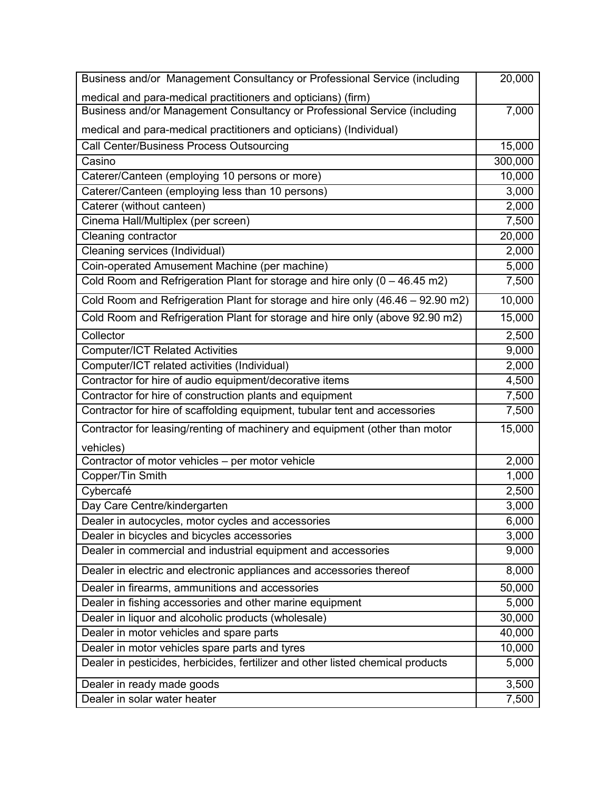| Business and/or Management Consultancy or Professional Service (including            | 20,000  |
|--------------------------------------------------------------------------------------|---------|
| medical and para-medical practitioners and opticians) (firm)                         |         |
| Business and/or Management Consultancy or Professional Service (including            | 7,000   |
| medical and para-medical practitioners and opticians) (Individual)                   |         |
| Call Center/Business Process Outsourcing                                             | 15,000  |
| Casino                                                                               | 300,000 |
| Caterer/Canteen (employing 10 persons or more)                                       | 10,000  |
| Caterer/Canteen (employing less than 10 persons)                                     | 3,000   |
| Caterer (without canteen)                                                            | 2,000   |
| Cinema Hall/Multiplex (per screen)                                                   | 7,500   |
| Cleaning contractor                                                                  | 20,000  |
| Cleaning services (Individual)                                                       | 2,000   |
| Coin-operated Amusement Machine (per machine)                                        | 5,000   |
| Cold Room and Refrigeration Plant for storage and hire only $(0 - 46.45 \text{ m2})$ | 7,500   |
| Cold Room and Refrigeration Plant for storage and hire only (46.46 – 92.90 m2)       | 10,000  |
| Cold Room and Refrigeration Plant for storage and hire only (above 92.90 m2)         | 15,000  |
| Collector                                                                            | 2,500   |
| <b>Computer/ICT Related Activities</b>                                               | 9,000   |
| Computer/ICT related activities (Individual)                                         | 2,000   |
| Contractor for hire of audio equipment/decorative items                              | 4,500   |
| Contractor for hire of construction plants and equipment                             | 7,500   |
| Contractor for hire of scaffolding equipment, tubular tent and accessories           | 7,500   |
| Contractor for leasing/renting of machinery and equipment (other than motor          | 15,000  |
| vehicles)                                                                            |         |
| Contractor of motor vehicles - per motor vehicle                                     | 2,000   |
| Copper/Tin Smith                                                                     | 1,000   |
| Cybercafé                                                                            | 2,500   |
| Day Care Centre/kindergarten                                                         | 3,000   |
| Dealer in autocycles, motor cycles and accessories                                   | 6,000   |
| Dealer in bicycles and bicycles accessories                                          | 3,000   |
| Dealer in commercial and industrial equipment and accessories                        | 9,000   |
| Dealer in electric and electronic appliances and accessories thereof                 | 8,000   |
| Dealer in firearms, ammunitions and accessories                                      | 50,000  |
| Dealer in fishing accessories and other marine equipment                             | 5,000   |
| Dealer in liquor and alcoholic products (wholesale)                                  | 30,000  |
| Dealer in motor vehicles and spare parts                                             | 40,000  |
| Dealer in motor vehicles spare parts and tyres                                       | 10,000  |
| Dealer in pesticides, herbicides, fertilizer and other listed chemical products      | 5,000   |
| Dealer in ready made goods                                                           | 3,500   |
| Dealer in solar water heater                                                         | 7,500   |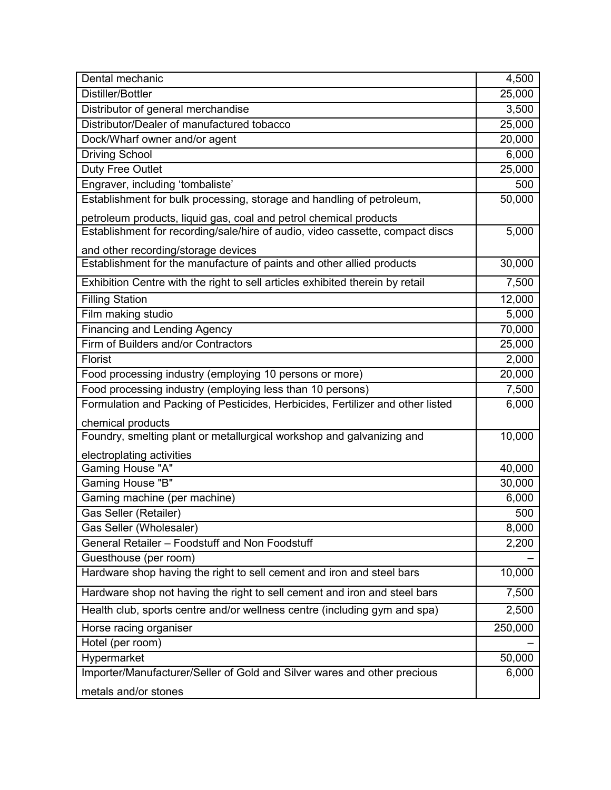| Dental mechanic                                                                | 4,500   |
|--------------------------------------------------------------------------------|---------|
| Distiller/Bottler                                                              | 25,000  |
| Distributor of general merchandise                                             | 3,500   |
| Distributor/Dealer of manufactured tobacco                                     | 25,000  |
| Dock/Wharf owner and/or agent                                                  | 20,000  |
| <b>Driving School</b>                                                          | 6,000   |
| Duty Free Outlet                                                               | 25,000  |
| Engraver, including 'tombaliste'                                               | 500     |
| Establishment for bulk processing, storage and handling of petroleum,          | 50,000  |
| petroleum products, liquid gas, coal and petrol chemical products              |         |
| Establishment for recording/sale/hire of audio, video cassette, compact discs  | 5,000   |
| and other recording/storage devices                                            |         |
| Establishment for the manufacture of paints and other allied products          | 30,000  |
| Exhibition Centre with the right to sell articles exhibited therein by retail  | 7,500   |
| <b>Filling Station</b>                                                         | 12,000  |
| Film making studio                                                             | 5,000   |
| <b>Financing and Lending Agency</b>                                            | 70,000  |
| Firm of Builders and/or Contractors                                            | 25,000  |
| Florist                                                                        | 2,000   |
| Food processing industry (employing 10 persons or more)                        | 20,000  |
| Food processing industry (employing less than 10 persons)                      | 7,500   |
| Formulation and Packing of Pesticides, Herbicides, Fertilizer and other listed | 6,000   |
| chemical products                                                              |         |
| Foundry, smelting plant or metallurgical workshop and galvanizing and          | 10,000  |
| electroplating activities                                                      |         |
| Gaming House "A"                                                               | 40,000  |
| Gaming House "B"                                                               | 30,000  |
| Gaming machine (per machine)                                                   | 6,000   |
| <b>Gas Seller (Retailer)</b>                                                   | 500     |
| Gas Seller (Wholesaler)                                                        | 8,000   |
| General Retailer - Foodstuff and Non Foodstuff                                 | 2,200   |
| Guesthouse (per room)                                                          |         |
| Hardware shop having the right to sell cement and iron and steel bars          | 10,000  |
| Hardware shop not having the right to sell cement and iron and steel bars      | 7,500   |
| Health club, sports centre and/or wellness centre (including gym and spa)      | 2,500   |
| Horse racing organiser                                                         | 250,000 |
| Hotel (per room)                                                               |         |
| Hypermarket                                                                    | 50,000  |
| Importer/Manufacturer/Seller of Gold and Silver wares and other precious       | 6,000   |
| metals and/or stones                                                           |         |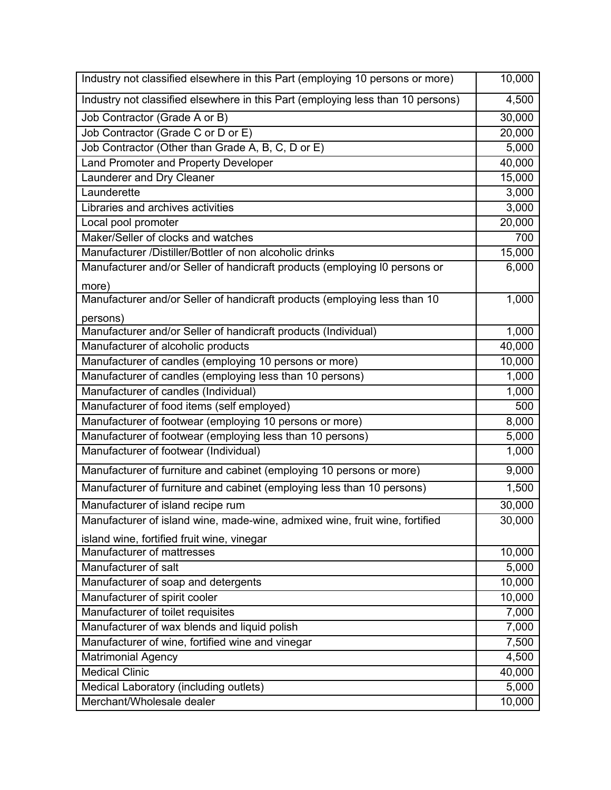| Industry not classified elsewhere in this Part (employing 10 persons or more)   | 10,000 |
|---------------------------------------------------------------------------------|--------|
| Industry not classified elsewhere in this Part (employing less than 10 persons) | 4,500  |
| Job Contractor (Grade A or B)                                                   | 30,000 |
| Job Contractor (Grade C or D or E)                                              | 20,000 |
| Job Contractor (Other than Grade A, B, C, D or E)                               | 5,000  |
| Land Promoter and Property Developer                                            | 40,000 |
| Launderer and Dry Cleaner                                                       | 15,000 |
| Launderette                                                                     | 3,000  |
| Libraries and archives activities                                               | 3,000  |
| Local pool promoter                                                             | 20,000 |
| Maker/Seller of clocks and watches                                              | 700    |
| Manufacturer /Distiller/Bottler of non alcoholic drinks                         | 15,000 |
| Manufacturer and/or Seller of handicraft products (employing I0 persons or      | 6,000  |
| more)                                                                           |        |
| Manufacturer and/or Seller of handicraft products (employing less than 10       | 1,000  |
| persons)                                                                        |        |
| Manufacturer and/or Seller of handicraft products (Individual)                  | 1,000  |
| Manufacturer of alcoholic products                                              | 40,000 |
| Manufacturer of candles (employing 10 persons or more)                          | 10,000 |
| Manufacturer of candles (employing less than 10 persons)                        | 1,000  |
| Manufacturer of candles (Individual)                                            | 1,000  |
| Manufacturer of food items (self employed)                                      | 500    |
| Manufacturer of footwear (employing 10 persons or more)                         | 8,000  |
| Manufacturer of footwear (employing less than 10 persons)                       | 5,000  |
| Manufacturer of footwear (Individual)                                           | 1,000  |
| Manufacturer of furniture and cabinet (employing 10 persons or more)            | 9,000  |
| Manufacturer of furniture and cabinet (employing less than 10 persons)          | 1,500  |
| Manufacturer of island recipe rum                                               | 30,000 |
| Manufacturer of island wine, made-wine, admixed wine, fruit wine, fortified     | 30,000 |
| island wine, fortified fruit wine, vinegar                                      |        |
| Manufacturer of mattresses                                                      | 10,000 |
| Manufacturer of salt                                                            | 5,000  |
| Manufacturer of soap and detergents                                             | 10,000 |
| Manufacturer of spirit cooler                                                   | 10,000 |
| Manufacturer of toilet requisites                                               | 7,000  |
| Manufacturer of wax blends and liquid polish                                    | 7,000  |
| Manufacturer of wine, fortified wine and vinegar                                | 7,500  |
| <b>Matrimonial Agency</b>                                                       | 4,500  |
| <b>Medical Clinic</b>                                                           | 40,000 |
| Medical Laboratory (including outlets)                                          | 5,000  |
| Merchant/Wholesale dealer                                                       | 10,000 |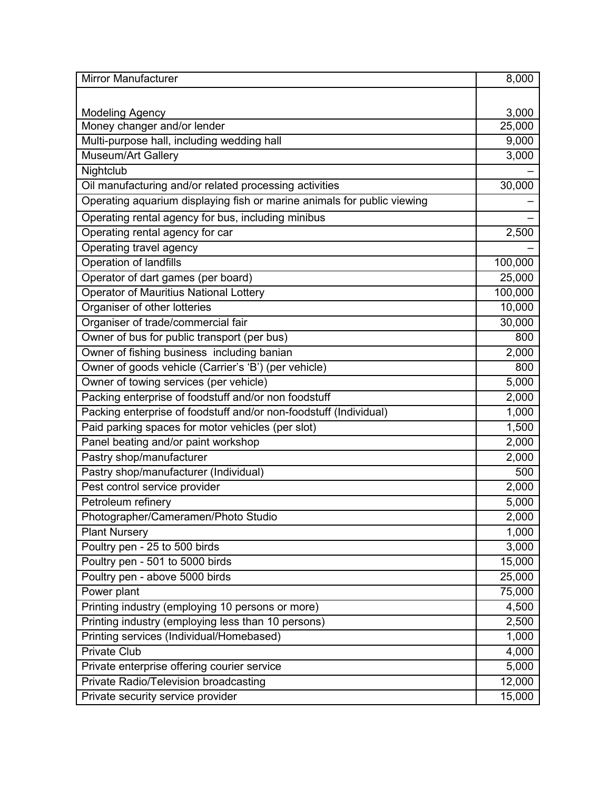| <b>Mirror Manufacturer</b>                                              | 8,000   |
|-------------------------------------------------------------------------|---------|
|                                                                         |         |
| <b>Modeling Agency</b>                                                  | 3,000   |
| Money changer and/or lender                                             | 25,000  |
| Multi-purpose hall, including wedding hall                              | 9,000   |
| <b>Museum/Art Gallery</b>                                               | 3,000   |
| Nightclub                                                               |         |
| Oil manufacturing and/or related processing activities                  | 30,000  |
| Operating aquarium displaying fish or marine animals for public viewing |         |
| Operating rental agency for bus, including minibus                      |         |
| Operating rental agency for car                                         | 2,500   |
| Operating travel agency                                                 |         |
| Operation of landfills                                                  | 100,000 |
| Operator of dart games (per board)                                      | 25,000  |
| Operator of Mauritius National Lottery                                  | 100,000 |
| Organiser of other lotteries                                            | 10,000  |
| Organiser of trade/commercial fair                                      | 30,000  |
| Owner of bus for public transport (per bus)                             | 800     |
| Owner of fishing business including banian                              | 2,000   |
| Owner of goods vehicle (Carrier's 'B') (per vehicle)                    | 800     |
| Owner of towing services (per vehicle)                                  | 5,000   |
| Packing enterprise of foodstuff and/or non foodstuff                    | 2,000   |
| Packing enterprise of foodstuff and/or non-foodstuff (Individual)       | 1,000   |
| Paid parking spaces for motor vehicles (per slot)                       | 1,500   |
| Panel beating and/or paint workshop                                     | 2,000   |
| Pastry shop/manufacturer                                                | 2,000   |
| Pastry shop/manufacturer (Individual)                                   | 500     |
| Pest control service provider                                           | 2,000   |
| Petroleum refinery                                                      | 5,000   |
| Photographer/Cameramen/Photo Studio                                     | 2,000   |
| <b>Plant Nursery</b>                                                    | 1,000   |
| Poultry pen - 25 to 500 birds                                           | 3,000   |
| Poultry pen - 501 to 5000 birds                                         | 15,000  |
| Poultry pen - above 5000 birds                                          | 25,000  |
| Power plant                                                             | 75,000  |
| Printing industry (employing 10 persons or more)                        | 4,500   |
| Printing industry (employing less than 10 persons)                      | 2,500   |
| Printing services (Individual/Homebased)                                | 1,000   |
| <b>Private Club</b>                                                     | 4,000   |
| Private enterprise offering courier service                             | 5,000   |
| Private Radio/Television broadcasting                                   | 12,000  |
| Private security service provider                                       | 15,000  |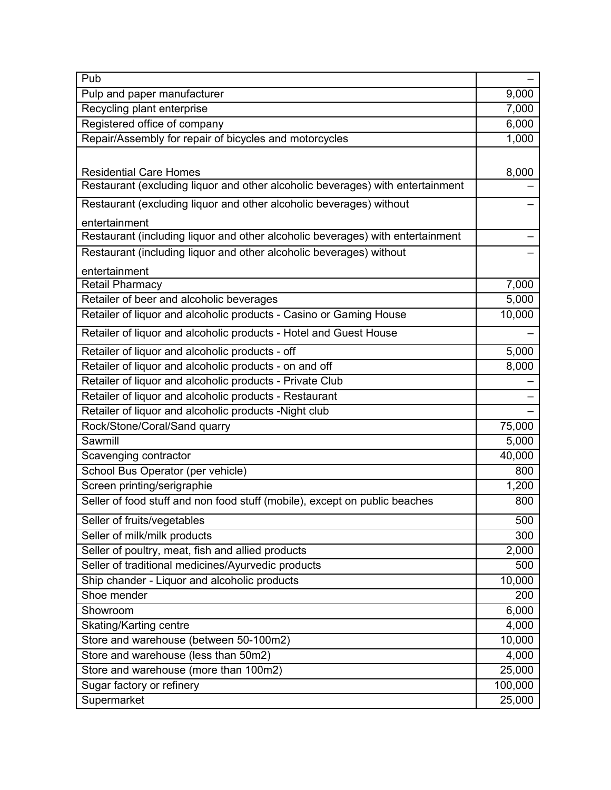| Pub                                                                            |         |
|--------------------------------------------------------------------------------|---------|
| Pulp and paper manufacturer                                                    | 9,000   |
| Recycling plant enterprise                                                     | 7,000   |
| Registered office of company                                                   | 6,000   |
| Repair/Assembly for repair of bicycles and motorcycles                         | 1,000   |
|                                                                                |         |
| <b>Residential Care Homes</b>                                                  | 8,000   |
| Restaurant (excluding liquor and other alcoholic beverages) with entertainment |         |
| Restaurant (excluding liquor and other alcoholic beverages) without            |         |
| entertainment                                                                  |         |
| Restaurant (including liquor and other alcoholic beverages) with entertainment |         |
| Restaurant (including liquor and other alcoholic beverages) without            |         |
| entertainment                                                                  |         |
| <b>Retail Pharmacy</b>                                                         | 7,000   |
| Retailer of beer and alcoholic beverages                                       | 5,000   |
| Retailer of liquor and alcoholic products - Casino or Gaming House             | 10,000  |
| Retailer of liquor and alcoholic products - Hotel and Guest House              |         |
| Retailer of liquor and alcoholic products - off                                | 5,000   |
| Retailer of liquor and alcoholic products - on and off                         | 8,000   |
| Retailer of liquor and alcoholic products - Private Club                       |         |
| Retailer of liquor and alcoholic products - Restaurant                         |         |
| Retailer of liquor and alcoholic products - Night club                         |         |
| Rock/Stone/Coral/Sand quarry                                                   | 75,000  |
| Sawmill                                                                        | 5,000   |
| Scavenging contractor                                                          | 40,000  |
| School Bus Operator (per vehicle)                                              | 800     |
| Screen printing/serigraphie                                                    | 1,200   |
| Seller of food stuff and non food stuff (mobile), except on public beaches     | 800     |
| Seller of fruits/vegetables                                                    | 500     |
| Seller of milk/milk products                                                   | 300     |
| Seller of poultry, meat, fish and allied products                              | 2,000   |
| Seller of traditional medicines/Ayurvedic products                             | 500     |
| Ship chander - Liquor and alcoholic products                                   | 10,000  |
| Shoe mender                                                                    | 200     |
| Showroom                                                                       | 6,000   |
| Skating/Karting centre                                                         | 4,000   |
| Store and warehouse (between 50-100m2)                                         | 10,000  |
| Store and warehouse (less than 50m2)                                           | 4,000   |
| Store and warehouse (more than 100m2)                                          | 25,000  |
| Sugar factory or refinery                                                      | 100,000 |
| Supermarket                                                                    | 25,000  |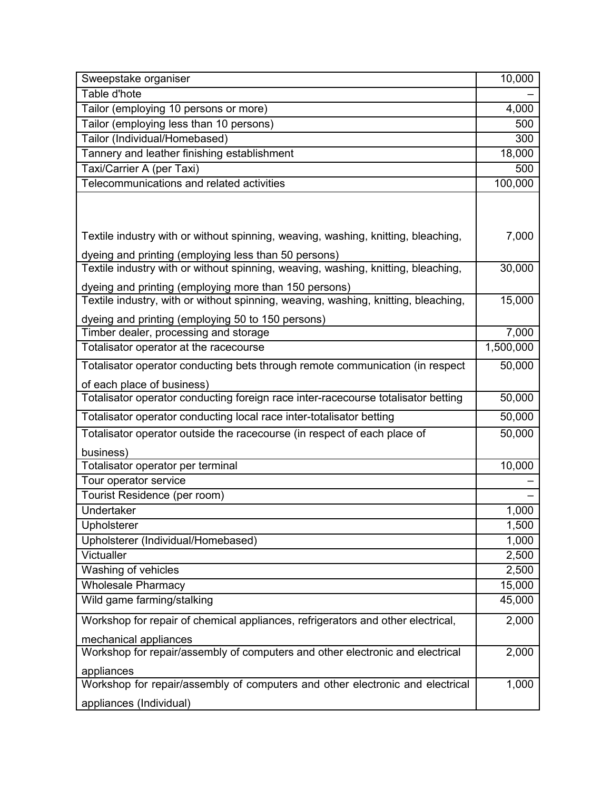| Sweepstake organiser                                                               | 10,000    |
|------------------------------------------------------------------------------------|-----------|
| Table d'hote                                                                       |           |
| Tailor (employing 10 persons or more)                                              | 4,000     |
| Tailor (employing less than 10 persons)                                            | 500       |
| Tailor (Individual/Homebased)                                                      | 300       |
| Tannery and leather finishing establishment                                        | 18,000    |
| Taxi/Carrier A (per Taxi)                                                          | 500       |
| Telecommunications and related activities                                          | 100,000   |
|                                                                                    |           |
| Textile industry with or without spinning, weaving, washing, knitting, bleaching,  | 7,000     |
| dyeing and printing (employing less than 50 persons)                               |           |
| Textile industry with or without spinning, weaving, washing, knitting, bleaching,  | 30,000    |
| dyeing and printing (employing more than 150 persons)                              |           |
| Textile industry, with or without spinning, weaving, washing, knitting, bleaching, | 15,000    |
| dyeing and printing (employing 50 to 150 persons)                                  |           |
| Timber dealer, processing and storage                                              | 7,000     |
| Totalisator operator at the racecourse                                             | 1,500,000 |
| Totalisator operator conducting bets through remote communication (in respect      | 50,000    |
| of each place of business)                                                         |           |
| Totalisator operator conducting foreign race inter-racecourse totalisator betting  | 50,000    |
| Totalisator operator conducting local race inter-totalisator betting               | 50,000    |
| Totalisator operator outside the racecourse (in respect of each place of           | 50,000    |
| business)                                                                          |           |
| Totalisator operator per terminal                                                  | 10,000    |
| Tour operator service                                                              |           |
| Tourist Residence (per room)                                                       |           |
| Undertaker                                                                         | 1,000     |
| Upholsterer                                                                        | 1,500     |
| Upholsterer (Individual/Homebased)                                                 | 1,000     |
| Victualler                                                                         | 2,500     |
| Washing of vehicles                                                                | 2,500     |
| <b>Wholesale Pharmacy</b>                                                          | 15,000    |
| Wild game farming/stalking                                                         | 45,000    |
| Workshop for repair of chemical appliances, refrigerators and other electrical,    | 2,000     |
| mechanical appliances                                                              |           |
| Workshop for repair/assembly of computers and other electronic and electrical      | 2,000     |
| appliances                                                                         |           |
| Workshop for repair/assembly of computers and other electronic and electrical      | 1,000     |
| appliances (Individual)                                                            |           |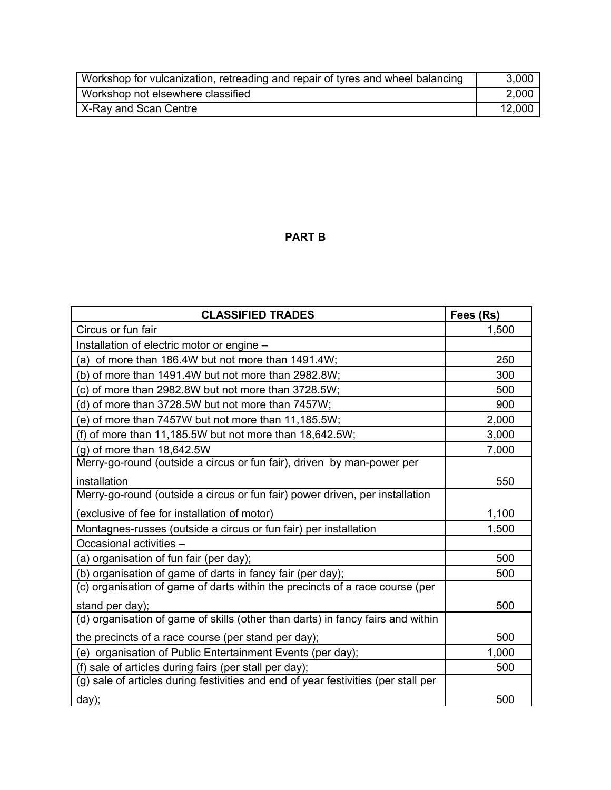| Workshop for vulcanization, retreading and repair of tyres and wheel balancing | 3,000  |
|--------------------------------------------------------------------------------|--------|
| Workshop not elsewhere classified                                              | 2.000  |
| X-Ray and Scan Centre                                                          | 12.000 |

### **PART B**

| <b>CLASSIFIED TRADES</b>                                                           | Fees (Rs) |
|------------------------------------------------------------------------------------|-----------|
| Circus or fun fair                                                                 | 1,500     |
| Installation of electric motor or engine -                                         |           |
| (a) of more than $186.4W$ but not more than $1491.4W$ ;                            | 250       |
| (b) of more than 1491.4W but not more than 2982.8W;                                | 300       |
| (c) of more than 2982.8W but not more than 3728.5W;                                | 500       |
| (d) of more than 3728.5W but not more than 7457W;                                  | 900       |
| (e) of more than 7457W but not more than 11,185.5W;                                | 2,000     |
| (f) of more than 11,185.5W but not more than 18,642.5W;                            | 3,000     |
| (g) of more than 18,642.5W                                                         | 7,000     |
| Merry-go-round (outside a circus or fun fair), driven by man-power per             |           |
| installation                                                                       | 550       |
| Merry-go-round (outside a circus or fun fair) power driven, per installation       |           |
| (exclusive of fee for installation of motor)                                       | 1,100     |
| Montagnes-russes (outside a circus or fun fair) per installation                   | 1,500     |
| Occasional activities -                                                            |           |
| (a) organisation of fun fair (per day);                                            | 500       |
| (b) organisation of game of darts in fancy fair (per day);                         | 500       |
| (c) organisation of game of darts within the precincts of a race course (per       |           |
| stand per day);                                                                    | 500       |
| (d) organisation of game of skills (other than darts) in fancy fairs and within    |           |
| the precincts of a race course (per stand per day);                                | 500       |
| (e) organisation of Public Entertainment Events (per day);                         | 1,000     |
| (f) sale of articles during fairs (per stall per day);                             | 500       |
| (g) sale of articles during festivities and end of year festivities (per stall per |           |
| $day)$ ;                                                                           | 500       |